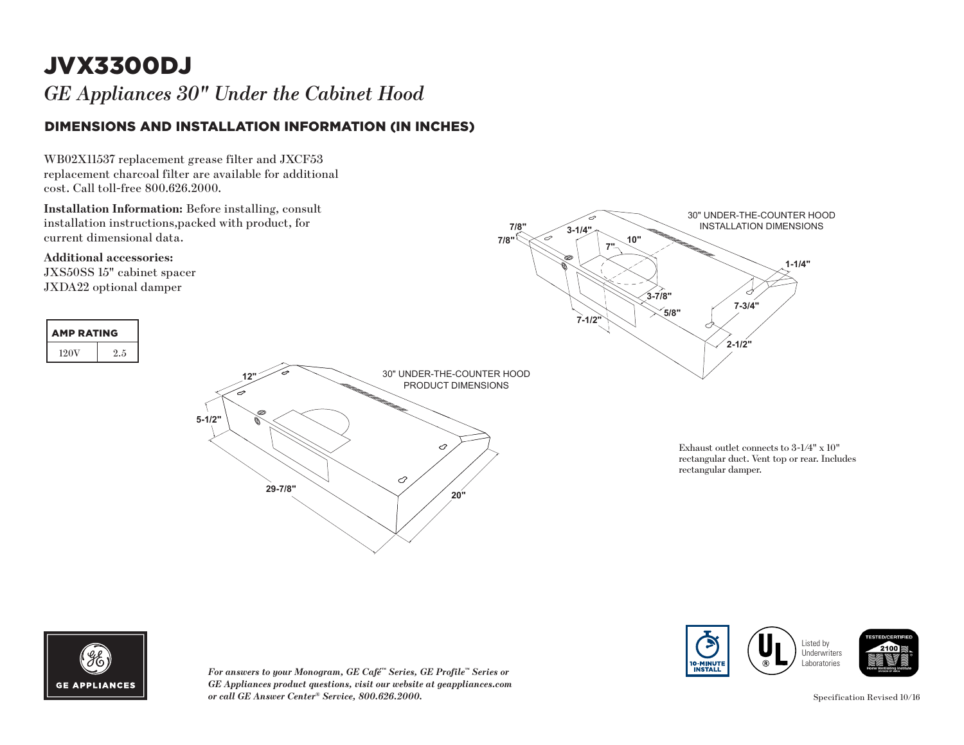# JVX3300DJ

*GE Appliances 30" Under the Cabinet Hood* 

#### DIMENSIONS AND INSTALLATION INFORMATION (IN INCHES)

WB02X11537 replacement grease filter and JXCF53 replacement charcoal filter are available for additional cost. Call toll-free 800.626.2000.

**Installation Information:** Before installing, consult installation instructions,packed with product, for current dimensional data.

**Additional accessories:** JXS50SS 15" cabinet spacer JXDA22 optional damper



**7"**

**10"**

**3-1/4"**

**7/8" 7/8"**



*For answers to your Monogram, GE Café™ Series, GE Profile™ Series or GE Appliances product questions, visit our website at geappliances.com*  **3-7/8"** *or call GE Answer Center® Service, 800.626.2000.* **Specification Revised 10/16 7-3/4"**



**1-1/4"**

30" UNDER-THE-COUNTER HOOD INSTALLATION DIMENSIONS